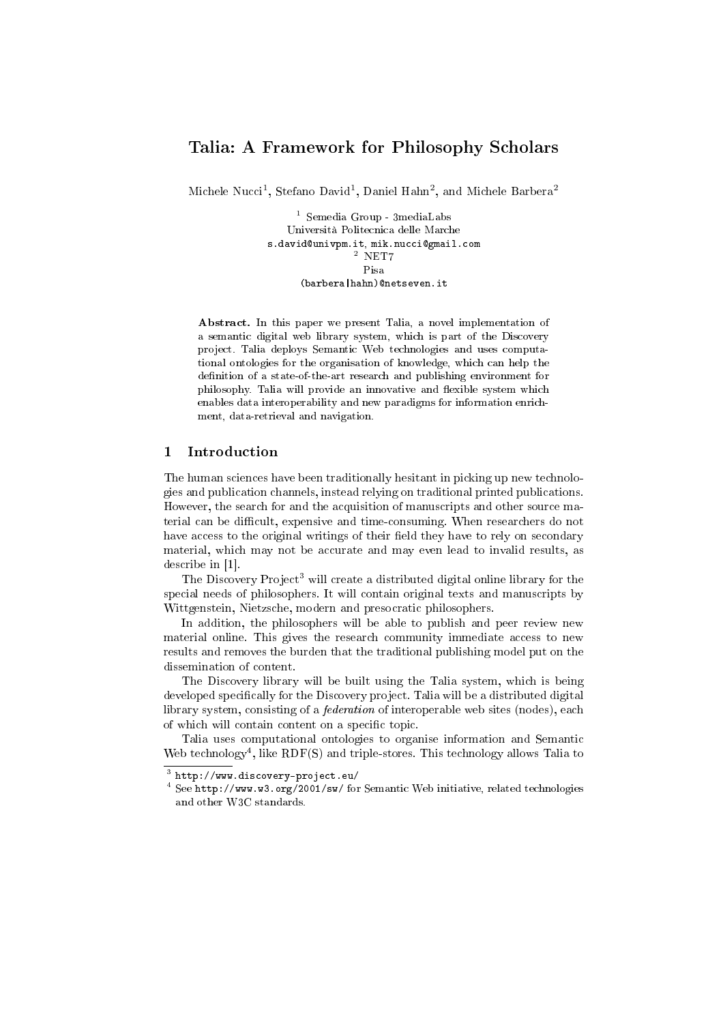# Talia: A Framework for Philosophy Scholars

Michele Nucci<sup>1</sup>, Stefano David<sup>1</sup>, Daniel Hahn<sup>2</sup>, and Michele Barbera<sup>2</sup>

 $^{\rm 1}$  Semedia Group - 3<br/>media<br>Labs Università Politecnica delle Marche s.david@univpm.it, mik.nucci@gmail.com  $2$  NET7 Pisa (barbera|hahn)@netseven.it

Abstract. In this paper we present Talia, a novel implementation of a semantic digital web library system, which is part of the Discovery project. Talia deploys Semantic Web technologies and uses computational ontologies for the organisation of knowledge, which can help the definition of a state-of-the-art research and publishing environment for philosophy. Talia will provide an innovative and flexible system which enables data interoperability and new paradigms for information enrichment, data-retrieval and navigation.

## 1 Introduction

The human sciences have been traditionally hesitant in picking up new technologies and publication channels, instead relying on traditional printed publications. However, the search for and the acquisition of manuscripts and other source material can be difficult, expensive and time-consuming. When researchers do not have access to the original writings of their field they have to rely on secondary material, which may not be accurate and may even lead to invalid results, as describe in [1].

The Discovery Project<sup>3</sup> will create a distributed digital online library for the special needs of philosophers. It will contain original texts and manuscripts by Wittgenstein, Nietzsche, modern and presocratic philosophers.

In addition, the philosophers will be able to publish and peer review new material online. This gives the research community immediate access to new results and removes the burden that the traditional publishing model put on the dissemination of content.

The Discovery library will be built using the Talia system, which is being developed specifically for the Discovery project. Talia will be a distributed digital library system, consisting of a federation of interoperable web sites (nodes), each of which will contain content on a specific topic.

Talia uses computational ontologies to organise information and Semantic Web technology<sup>4</sup>, like RDF(S) and triple-stores. This technology allows Talia to

 $^3$  http://www.discovery-project.eu/

<sup>4</sup> See http://www.w3.org/2001/sw/ for Semantic Web initiative, related technologies and other W3C standards.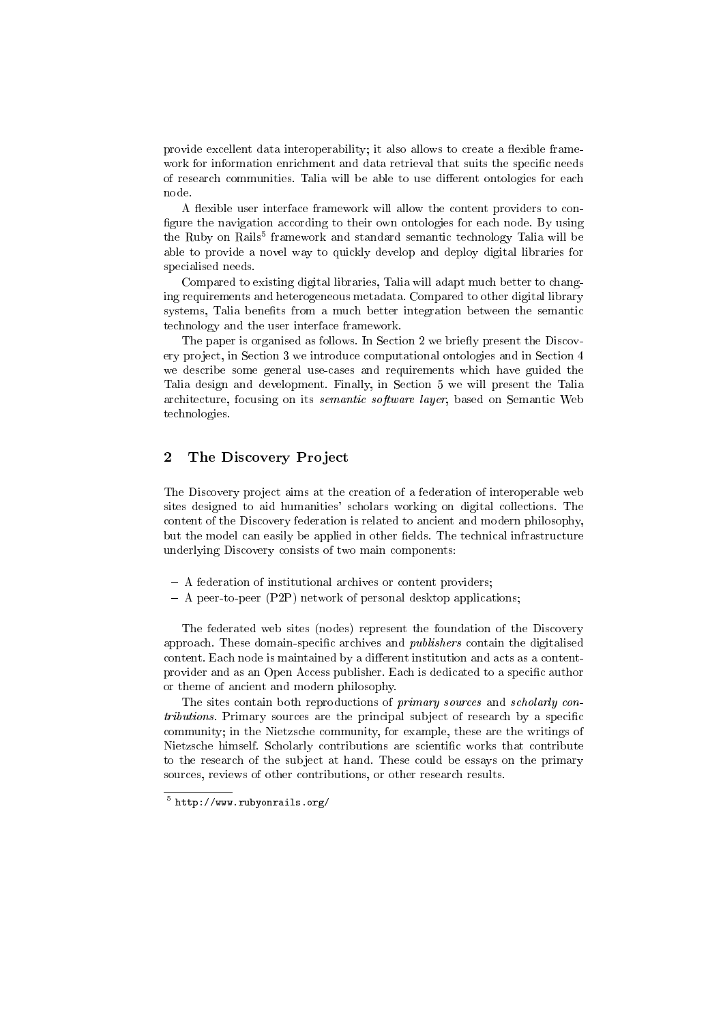provide excellent data interoperability; it also allows to create a flexible framework for information enrichment and data retrieval that suits the specific needs of research communities. Talia will be able to use different ontologies for each node.

A flexible user interface framework will allow the content providers to configure the navigation according to their own ontologies for each node. By using the Ruby on Rails $^5$  framework and standard semantic technology Talia will be able to provide a novel way to quickly develop and deploy digital libraries for specialised needs.

Compared to existing digital libraries, Talia will adapt much better to changing requirements and heterogeneous metadata. Compared to other digital library systems, Talia benefits from a much better integration between the semantic technology and the user interface framework.

The paper is organised as follows. In Section 2 we briefly present the Discovery project, in Section 3 we introduce computational ontologies and in Section 4 we describe some general use-cases and requirements which have guided the Talia design and development. Finally, in Section 5 we will present the Talia architecture, focusing on its semantic software layer, based on Semantic Web technologies.

## 2 The Discovery Project

The Discovery project aims at the creation of a federation of interoperable web sites designed to aid humanities' scholars working on digital collections. The content of the Discovery federation is related to ancient and modern philosophy, but the model can easily be applied in other fields. The technical infrastructure underlying Discovery consists of two main components:

- A federation of institutional archives or content providers;
- A peer-to-peer (P2P) network of personal desktop applications;

The federated web sites (nodes) represent the foundation of the Discovery approach. These domain-specific archives and *publishers* contain the digitalised content. Each node is maintained by a different institution and acts as a contentprovider and as an Open Access publisher. Each is dedicated to a specific author or theme of ancient and modern philosophy.

The sites contain both reproductions of *primary sources* and *scholarly con*tributions. Primary sources are the principal subject of research by a specific community; in the Nietzsche community, for example, these are the writings of Nietzsche himself. Scholarly contributions are scientific works that contribute to the research of the subject at hand. These could be essays on the primary sources, reviews of other contributions, or other research results.

 $^5$  http://www.rubyonrails.org/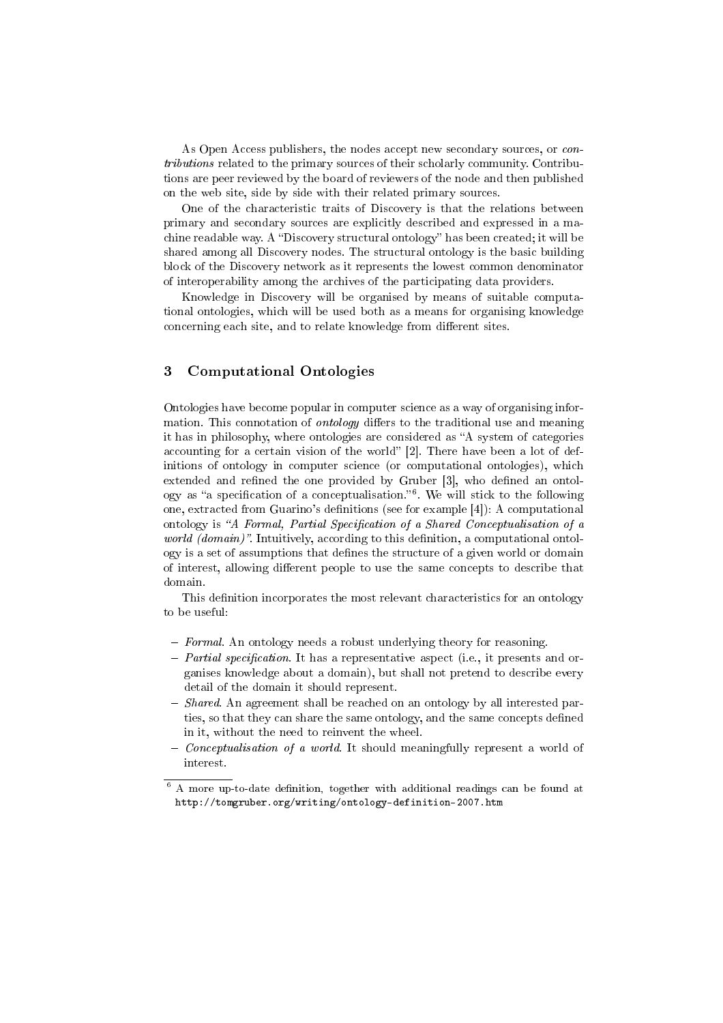As Open Access publishers, the nodes accept new secondary sources, or contributions related to the primary sources of their scholarly community. Contributions are peer reviewed by the board of reviewers of the node and then published on the web site, side by side with their related primary sources.

One of the characteristic traits of Discovery is that the relations between primary and secondary sources are explicitly described and expressed in a machine readable way. A "Discovery structural ontology" has been created; it will be shared among all Discovery nodes. The structural ontology is the basic building block of the Discovery network as it represents the lowest common denominator of interoperability among the archives of the participating data providers.

Knowledge in Discovery will be organised by means of suitable computational ontologies, which will be used both as a means for organising knowledge concerning each site, and to relate knowledge from different sites.

## 3 Computational Ontologies

Ontologies have become popular in computer science as a way of organising information. This connotation of *ontology* differs to the traditional use and meaning it has in philosophy, where ontologies are considered as "A system of categories accounting for a certain vision of the world" [2]. There have been a lot of definitions of ontology in computer science (or computational ontologies), which extended and refined the one provided by Gruber  $[3]$ , who defined an ontology as "a specification of a conceptualisation." $^6$ . We will stick to the following one, extracted from Guarino's denitions (see for example [4]): A computational ontology is "A Formal, Partial Specification of a Shared Conceptualisation of a world (domain)". Intuitively, according to this definition, a computational ontology is a set of assumptions that defines the structure of a given world or domain of interest, allowing different people to use the same concepts to describe that domain.

This definition incorporates the most relevant characteristics for an ontology to be useful:

- $-$  Formal. An ontology needs a robust underlying theory for reasoning.
- $P$ artial specification. It has a representative aspect (i.e., it presents and organises knowledge about a domain), but shall not pretend to describe every detail of the domain it should represent.
- $S<sub>h</sub>$  Shared. An agreement shall be reached on an ontology by all interested parties, so that they can share the same ontology, and the same concepts defined in it, without the need to reinvent the wheel.
- $\overline{C}$  Conceptualisation of a world. It should meaningfully represent a world of interest.

 $6$  A more up-to-date definition, together with additional readings can be found at http://tomgruber.org/writing/ontology-definition-2007.htm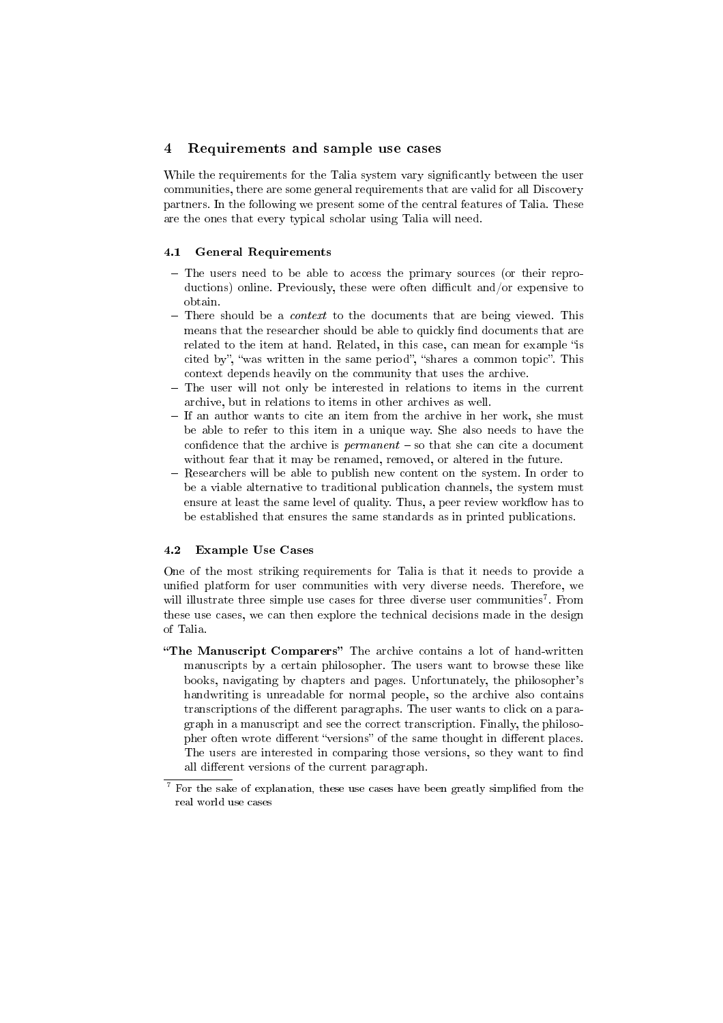#### 4 Requirements and sample use cases

While the requirements for the Talia system vary significantly between the user communities, there are some general requirements that are valid for all Discovery partners. In the following we present some of the central features of Talia. These are the ones that every typical scholar using Talia will need.

#### 4.1 General Requirements

- The users need to be able to access the primary sources (or their reproductions) online. Previously, these were often difficult and/or expensive to obtain.
- $-$  There should be a *context* to the documents that are being viewed. This means that the researcher should be able to quickly find documents that are related to the item at hand. Related, in this case, can mean for example "is cited by", "was written in the same period", "shares a common topic". This context depends heavily on the community that uses the archive.
- The user will not only be interested in relations to items in the current archive, but in relations to items in other archives as well.
- If an author wants to cite an item from the archive in her work, she must be able to refer to this item in a unique way. She also needs to have the confidence that the archive is  $\textit{permann} =$  so that she can cite a document without fear that it may be renamed, removed, or altered in the future.
- Researchers will be able to publish new content on the system. In order to be a viable alternative to traditional publication channels, the system must ensure at least the same level of quality. Thus, a peer review workflow has to be established that ensures the same standards as in printed publications.

#### 4.2 Example Use Cases

One of the most striking requirements for Talia is that it needs to provide a unified platform for user communities with very diverse needs. Therefore, we will illustrate three simple use cases for three diverse user communities<sup>7</sup>. From these use cases, we can then explore the technical decisions made in the design of Talia.

"The Manuscript Comparers" The archive contains a lot of hand-written manuscripts by a certain philosopher. The users want to browse these like books, navigating by chapters and pages. Unfortunately, the philosopher's handwriting is unreadable for normal people, so the archive also contains transcriptions of the different paragraphs. The user wants to click on a paragraph in a manuscript and see the correct transcription. Finally, the philosopher often wrote different "versions" of the same thought in different places. The users are interested in comparing those versions, so they want to find all different versions of the current paragraph.

For the sake of explanation, these use cases have been greatly simplified from the real world use cases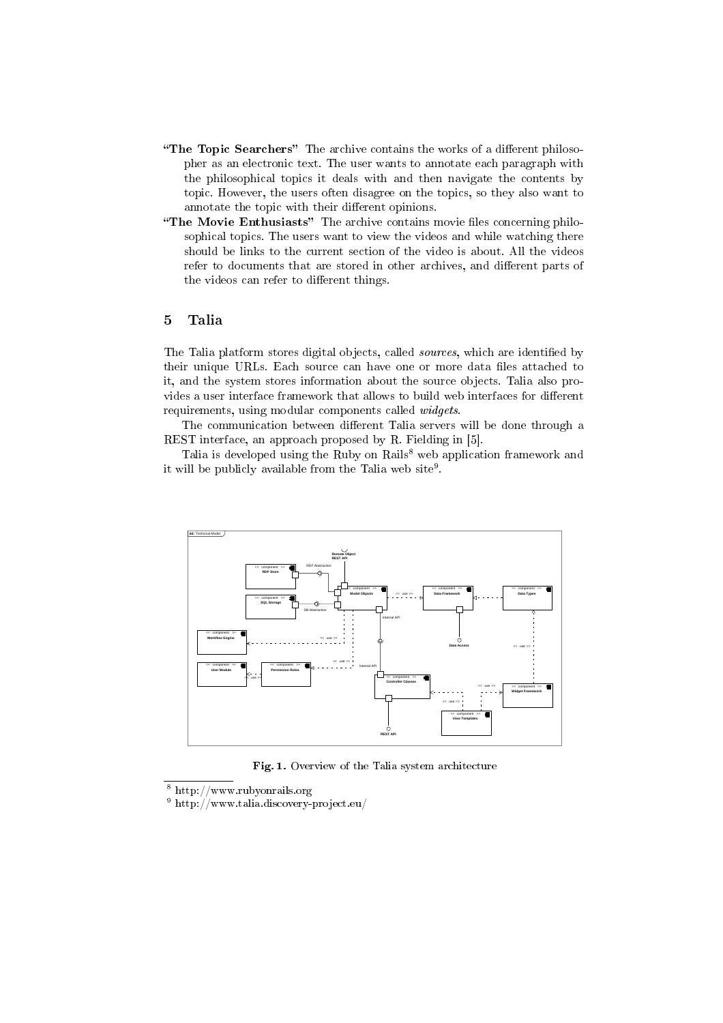- "The Topic Searchers" The archive contains the works of a different philosopher as an electronic text. The user wants to annotate each paragraph with the philosophical topics it deals with and then navigate the contents by topic. However, the users often disagree on the topics, so they also want to annotate the topic with their different opinions.
- "The Movie Enthusiasts" The archive contains movie files concerning philosophical topics. The users want to view the videos and while watching there should be links to the current section of the video is about. All the videos refer to documents that are stored in other archives, and different parts of the videos can refer to different things.

### 5 Talia

The Talia platform stores digital objects, called *sources*, which are identified by their unique URLs. Each source can have one or more data files attached to it, and the system stores information about the source objects. Talia also provides a user interface framework that allows to build web interfaces for different requirements, using modular components called widgets.

The communication between different Talia servers will be done through a REST interface, an approach proposed by R. Fielding in [5].

Talia is developed using the Ruby on Rails<sup>8</sup> web application framework and it will be publicly available from the Talia web  $\mathrm{site}^9$ .



Fig. 1. Overview of the Talia system architecture

<sup>8</sup> http://www.rubyonrails.org

<sup>9</sup> http://www.talia.discovery-project.eu/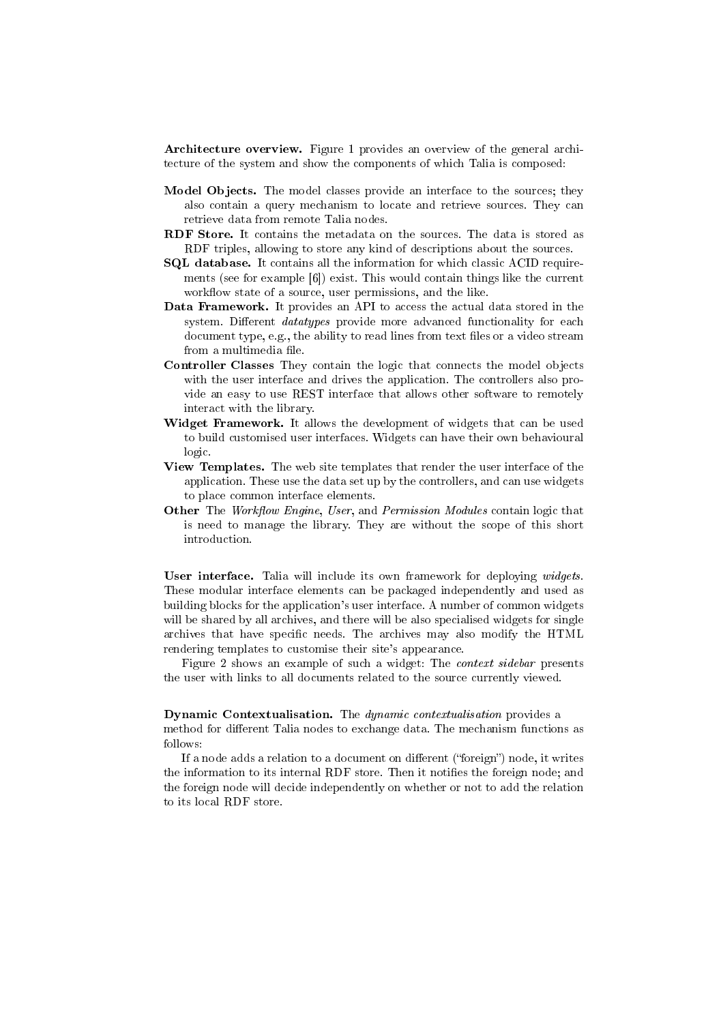Architecture overview. Figure 1 provides an overview of the general architecture of the system and show the components of which Talia is composed:

- Model Objects. The model classes provide an interface to the sources; they also contain a query mechanism to locate and retrieve sources. They can retrieve data from remote Talia nodes.
- RDF Store. It contains the metadata on the sources. The data is stored as RDF triples, allowing to store any kind of descriptions about the sources.
- SQL database. It contains all the information for which classic ACID requirements (see for example [6]) exist. This would contain things like the current workflow state of a source, user permissions, and the like.
- Data Framework. It provides an API to access the actual data stored in the system. Different *datatypes* provide more advanced functionality for each document type, e.g., the ability to read lines from text files or a video stream from a multimedia file.
- Controller Classes They contain the logic that connects the model objects with the user interface and drives the application. The controllers also provide an easy to use REST interface that allows other software to remotely interact with the library.
- Widget Framework. It allows the development of widgets that can be used to build customised user interfaces. Widgets can have their own behavioural logic.
- View Templates. The web site templates that render the user interface of the application. These use the data set up by the controllers, and can use widgets to place common interface elements.
- Other The Workflow Engine, User, and Permission Modules contain logic that is need to manage the library. They are without the scope of this short introduction.

User interface. Talia will include its own framework for deploying widgets. These modular interface elements can be packaged independently and used as building blocks for the application's user interface. A number of common widgets will be shared by all archives, and there will be also specialised widgets for single archives that have specific needs. The archives may also modify the HTML rendering templates to customise their site's appearance.

Figure 2 shows an example of such a widget: The context sidebar presents the user with links to all documents related to the source currently viewed.

Dynamic Contextualisation. The dynamic contextualisation provides a method for different Talia nodes to exchange data. The mechanism functions as follows:

If a node adds a relation to a document on different ("foreign") node, it writes the information to its internal RDF store. Then it notifies the foreign node; and the foreign node will decide independently on whether or not to add the relation to its local RDF store.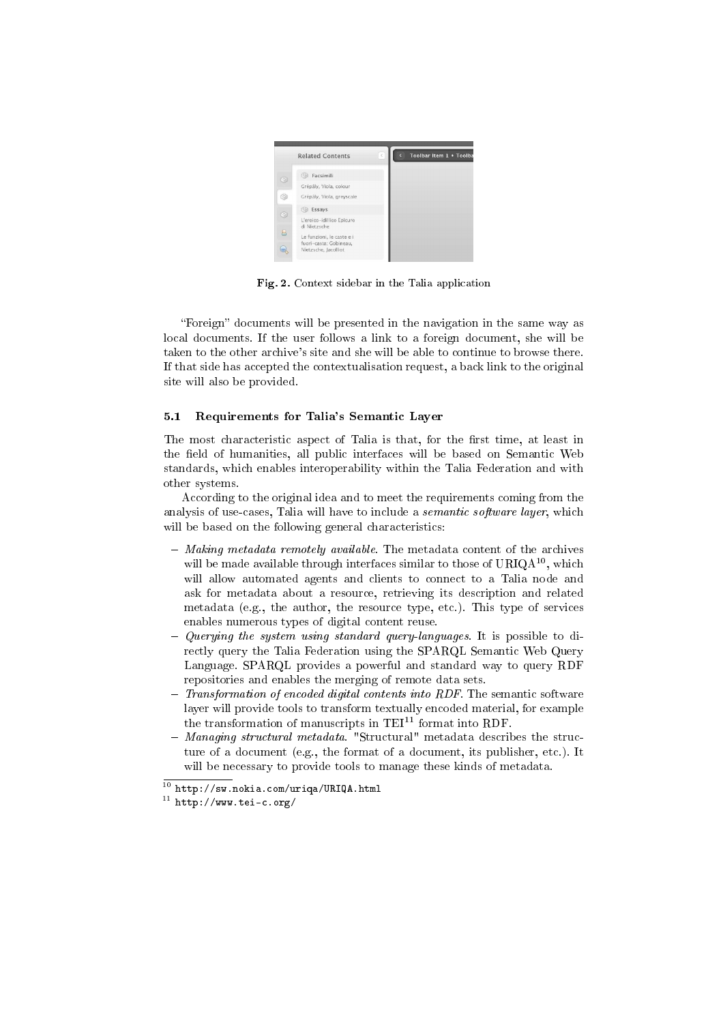

Fig. 2. Context sidebar in the Talia application

"Foreign" documents will be presented in the navigation in the same way as local documents. If the user follows a link to a foreign document, she will be taken to the other archive's site and she will be able to continue to browse there. If that side has accepted the contextualisation request, a back link to the original site will also be provided.

#### 5.1 Requirements for Talia's Semantic Layer

The most characteristic aspect of Talia is that, for the first time, at least in the field of humanities, all public interfaces will be based on Semantic Web standards, which enables interoperability within the Talia Federation and with other systems.

According to the original idea and to meet the requirements coming from the analysis of use-cases, Talia will have to include a semantic software layer, which will be based on the following general characteristics:

- $-Making metadata$  remotely available. The metadata content of the archives will be made available through interfaces similar to those of  $URIQA^{10}$ , which will allow automated agents and clients to connect to a Talia node and ask for metadata about a resource, retrieving its description and related metadata (e.g., the author, the resource type, etc.). This type of services enables numerous types of digital content reuse.
- $\overline{Q}$  Querying the system using standard query-languages. It is possible to directly query the Talia Federation using the SPARQL Semantic Web Query Language. SPARQL provides a powerful and standard way to query RDF repositories and enables the merging of remote data sets.
- $-$  Transformation of encoded digital contents into RDF. The semantic software layer will provide tools to transform textually encoded material, for example the transformation of manuscripts in  $TEI<sup>11</sup>$  format into RDF.
- Managing structural metadata. "Structural" metadata describes the structure of a document (e.g., the format of a document, its publisher, etc.). It will be necessary to provide tools to manage these kinds of metadata.

 $\frac{10 \text{ http://sw.nokia.com/uriqa/URLQA.html}}{$ 

 $11$  http://www.tei-c.org/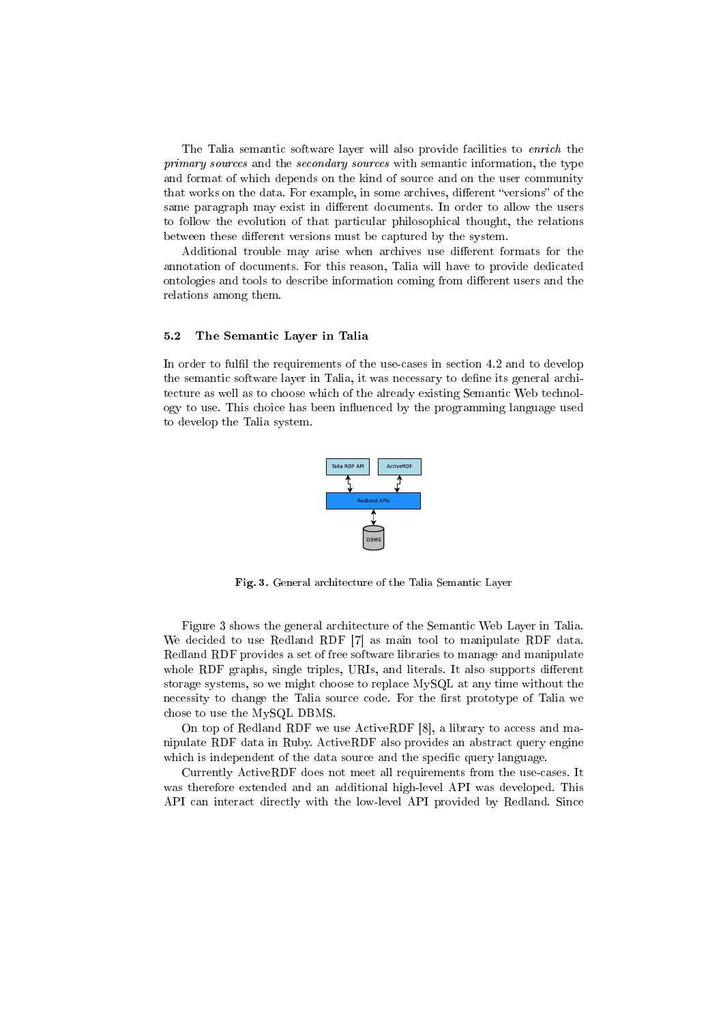The Talia semantic software layer will also provide facilities to *enrich* the primary sources and the secondary sources with semantic information, the type and format of which depends on the kind of source and on the user community that works on the data. For example, in some archives, different "versions" of the same paragraph may exist in different documents. In order to allow the users to follow the evolution of that particular philosophical thought, the relations between these different versions must be captured by the system.

Additional trouble may arise when archives use different formats for the annotation of documents. For this reason, Talia will have to provide dedicated ontologies and tools to describe information coming from different users and the relations among them.

#### 5.2 The Semantic Layer in Talia

In order to fulfil the requirements of the use-cases in section 4.2 and to develop the semantic software layer in Talia, it was necessary to define its general architecture as well as to choose which of the already existing Semantic Web technology to use. This choice has been influenced by the programming language used to develop the Talia system.



Fig. 3. General architecture of the Talia Semantic Layer

Figure 3 shows the general architecture of the Semantic Web Layer in Talia. We decided to use Redland RDF [7] as main tool to manipulate RDF data. Redland RDF provides a set of free software libraries to manage and manipulate whole RDF graphs, single triples, URIs, and literals. It also supports different storage systems, so we might choose to replace MySQL at any time without the necessity to change the Talia source code. For the first prototype of Talia we chose to use the MySQL DBMS.

On top of Redland RDF we use ActiveRDF [8], a library to access and manipulate RDF data in Ruby. ActiveRDF also provides an abstract query engine which is independent of the data source and the specific query language.

Currently ActiveRDF does not meet all requirements from the use-cases. It was therefore extended and an additional high-level API was developed. This API can interact directly with the low-level API provided by Redland. Since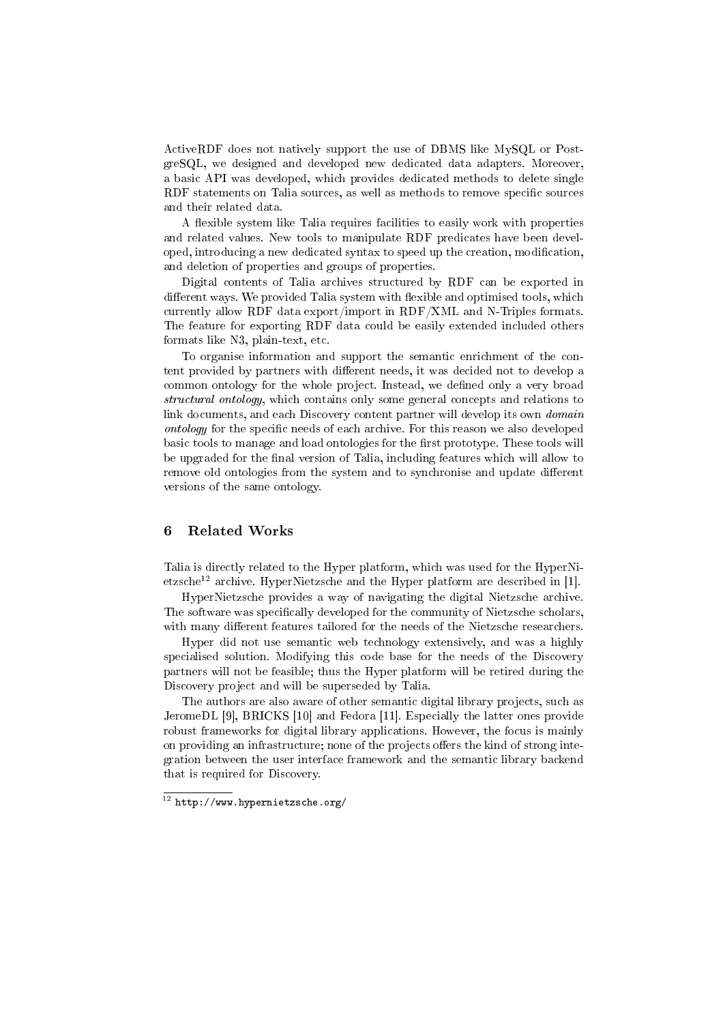ActiveRDF does not natively support the use of DBMS like MySQL or PostgreSQL, we designed and developed new dedicated data adapters. Moreover, a basic API was developed, which provides dedicated methods to delete single RDF statements on Talia sources, as well as methods to remove specific sources and their related data.

A flexible system like Talia requires facilities to easily work with properties and related values. New tools to manipulate RDF predicates have been developed, introducing a new dedicated syntax to speed up the creation, modification, and deletion of properties and groups of properties.

Digital contents of Talia archives structured by RDF can be exported in different ways. We provided Talia system with flexible and optimised tools, which currently allow RDF data export/import in RDF/XML and N-Triples formats. The feature for exporting RDF data could be easily extended included others formats like N3, plain-text, etc.

To organise information and support the semantic enrichment of the content provided by partners with different needs, it was decided not to develop a common ontology for the whole project. Instead, we defined only a very broad structural ontology, which contains only some general concepts and relations to link documents, and each Discovery content partner will develop its own *domain* ontology for the specific needs of each archive. For this reason we also developed basic tools to manage and load ontologies for the first prototype. These tools will be upgraded for the final version of Talia, including features which will allow to remove old ontologies from the system and to synchronise and update different versions of the same ontology.

### 6 Related Works

Talia is directly related to the Hyper platform, which was used for the HyperNietzsche<sup>12</sup> archive. HyperNietzsche and the Hyper platform are described in [1].

HyperNietzsche provides a way of navigating the digital Nietzsche archive. The software was specifically developed for the community of Nietzsche scholars, with many different features tailored for the needs of the Nietzsche researchers.

Hyper did not use semantic web technology extensively, and was a highly specialised solution. Modifying this code base for the needs of the Discovery partners will not be feasible; thus the Hyper platform will be retired during the Discovery project and will be superseded by Talia.

The authors are also aware of other semantic digital library projects, such as JeromeDL [9], BRICKS [10] and Fedora [11]. Especially the latter ones provide robust frameworks for digital library applications. However, the focus is mainly on providing an infrastructure; none of the projects offers the kind of strong integration between the user interface framework and the semantic library backend that is required for Discovery.

 $\frac{12 \text{ http://www.hypernietzsche.org/}}{}$